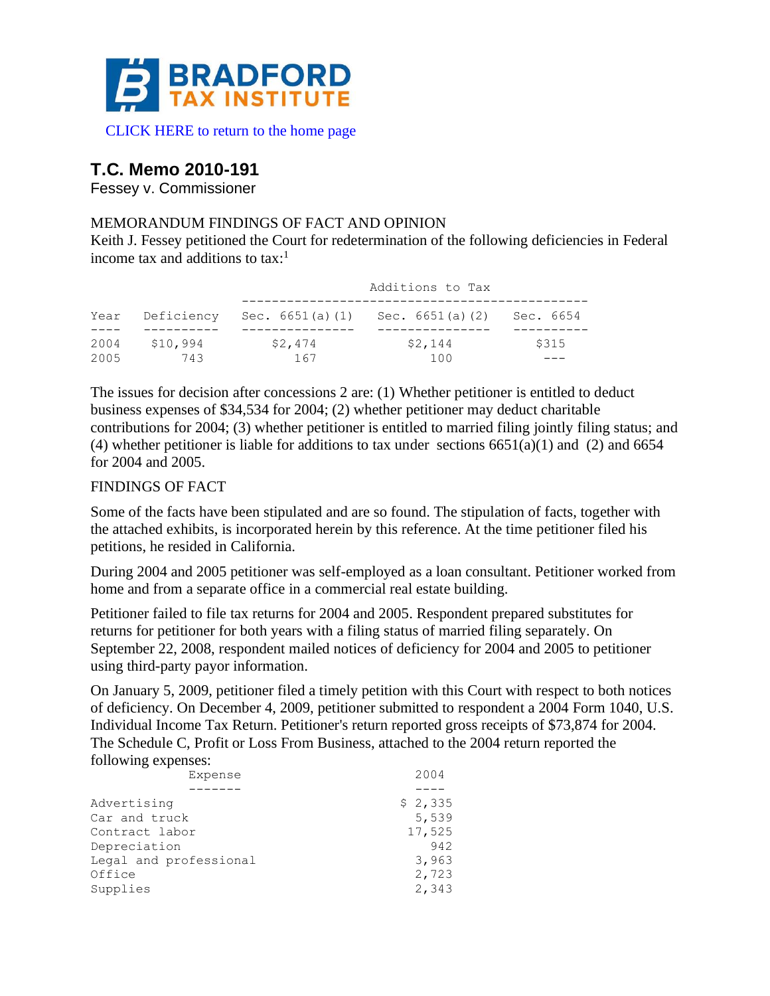

# **T.C. Memo 2010-191**

Fessey v. Commissioner

## MEMORANDUM FINDINGS OF FACT AND OPINION

Keith J. Fessey petitioned the Court for redetermination of the following deficiencies in Federal income tax and additions to tax: $<sup>1</sup>$ </sup>

|              |                 | Additions to Tax |                    |           |  |
|--------------|-----------------|------------------|--------------------|-----------|--|
|              | Year Deficiency | Sec. 6651(a)(1)  | Sec. $6651(a)$ (2) | Sec. 6654 |  |
| 2004<br>2005 | \$10,994<br>743 | \$2,474<br>167   | \$2,144<br>100     | \$315     |  |

The issues for decision after concessions 2 are: (1) Whether petitioner is entitled to deduct business expenses of \$34,534 for 2004; (2) whether petitioner may deduct charitable contributions for 2004; (3) whether petitioner is entitled to married filing jointly filing status; and (4) whether petitioner is liable for additions to tax under sections  $6651(a)(1)$  and (2) and  $6654$ for 2004 and 2005.

## FINDINGS OF FACT

Some of the facts have been stipulated and are so found. The stipulation of facts, together with the attached exhibits, is incorporated herein by this reference. At the time petitioner filed his petitions, he resided in California.

During 2004 and 2005 petitioner was self-employed as a loan consultant. Petitioner worked from home and from a separate office in a commercial real estate building.

Petitioner failed to file tax returns for 2004 and 2005. Respondent prepared substitutes for returns for petitioner for both years with a filing status of married filing separately. On September 22, 2008, respondent mailed notices of deficiency for 2004 and 2005 to petitioner using third-party payor information.

On January 5, 2009, petitioner filed a timely petition with this Court with respect to both notices of deficiency. On December 4, 2009, petitioner submitted to respondent a 2004 Form 1040, U.S. Individual Income Tax Return. Petitioner's return reported gross receipts of \$73,874 for 2004. The Schedule C, Profit or Loss From Business, attached to the 2004 return reported the following expenses:

| Expense                | 2004    |
|------------------------|---------|
|                        |         |
| Advertising            | \$2,335 |
| Car and truck          | 5,539   |
| Contract labor         | 17,525  |
| Depreciation           | 942     |
| Legal and professional | 3,963   |
| Office                 | 2,723   |
| Supplies               | 2,343   |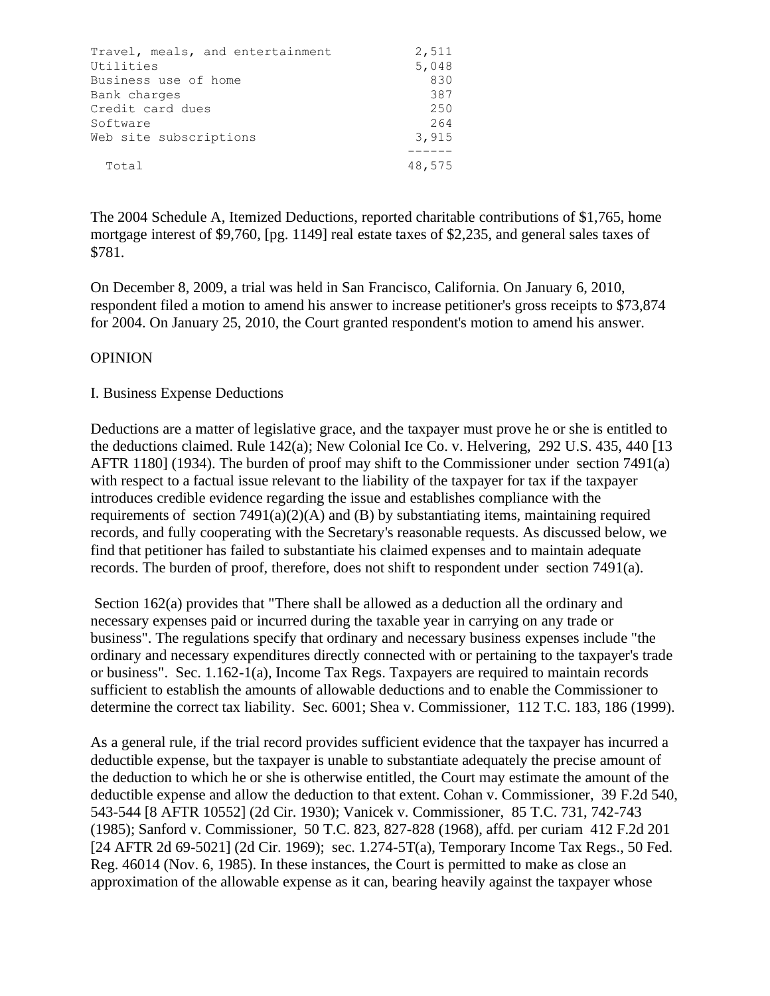| Travel, meals, and entertainment | 2,511  |
|----------------------------------|--------|
| Utilities                        | 5,048  |
| Business use of home             | 830    |
| Bank charges                     | 387    |
| Credit card dues                 | 250    |
| Software                         | 264    |
| Web site subscriptions           | 3,915  |
|                                  |        |
| Total                            | 48,575 |

The 2004 Schedule A, Itemized Deductions, reported charitable contributions of \$1,765, home mortgage interest of \$9,760, [pg. 1149] real estate taxes of \$2,235, and general sales taxes of \$781.

On December 8, 2009, a trial was held in San Francisco, California. On January 6, 2010, respondent filed a motion to amend his answer to increase petitioner's gross receipts to \$73,874 for 2004. On January 25, 2010, the Court granted respondent's motion to amend his answer.

#### **OPINION**

#### I. Business Expense Deductions

Deductions are a matter of legislative grace, and the taxpayer must prove he or she is entitled to the deductions claimed. Rule 142(a); New Colonial Ice Co. v. Helvering, 292 U.S. 435, 440 [13 AFTR 1180] (1934). The burden of proof may shift to the Commissioner under section 7491(a) with respect to a factual issue relevant to the liability of the taxpayer for tax if the taxpayer introduces credible evidence regarding the issue and establishes compliance with the requirements of section  $7491(a)(2)(A)$  and (B) by substantiating items, maintaining required records, and fully cooperating with the Secretary's reasonable requests. As discussed below, we find that petitioner has failed to substantiate his claimed expenses and to maintain adequate records. The burden of proof, therefore, does not shift to respondent under section 7491(a).

Section 162(a) provides that "There shall be allowed as a deduction all the ordinary and necessary expenses paid or incurred during the taxable year in carrying on any trade or business". The regulations specify that ordinary and necessary business expenses include "the ordinary and necessary expenditures directly connected with or pertaining to the taxpayer's trade or business". Sec. 1.162-1(a), Income Tax Regs. Taxpayers are required to maintain records sufficient to establish the amounts of allowable deductions and to enable the Commissioner to determine the correct tax liability. Sec. 6001; Shea v. Commissioner, 112 T.C. 183, 186 (1999).

As a general rule, if the trial record provides sufficient evidence that the taxpayer has incurred a deductible expense, but the taxpayer is unable to substantiate adequately the precise amount of the deduction to which he or she is otherwise entitled, the Court may estimate the amount of the deductible expense and allow the deduction to that extent. Cohan v. Commissioner, 39 F.2d 540, 543-544 [8 AFTR 10552] (2d Cir. 1930); Vanicek v. Commissioner, 85 T.C. 731, 742-743 (1985); Sanford v. Commissioner, 50 T.C. 823, 827-828 (1968), affd. per curiam 412 F.2d 201 [24 AFTR 2d 69-5021] (2d Cir. 1969); sec. 1.274-5T(a), Temporary Income Tax Regs., 50 Fed. Reg. 46014 (Nov. 6, 1985). In these instances, the Court is permitted to make as close an approximation of the allowable expense as it can, bearing heavily against the taxpayer whose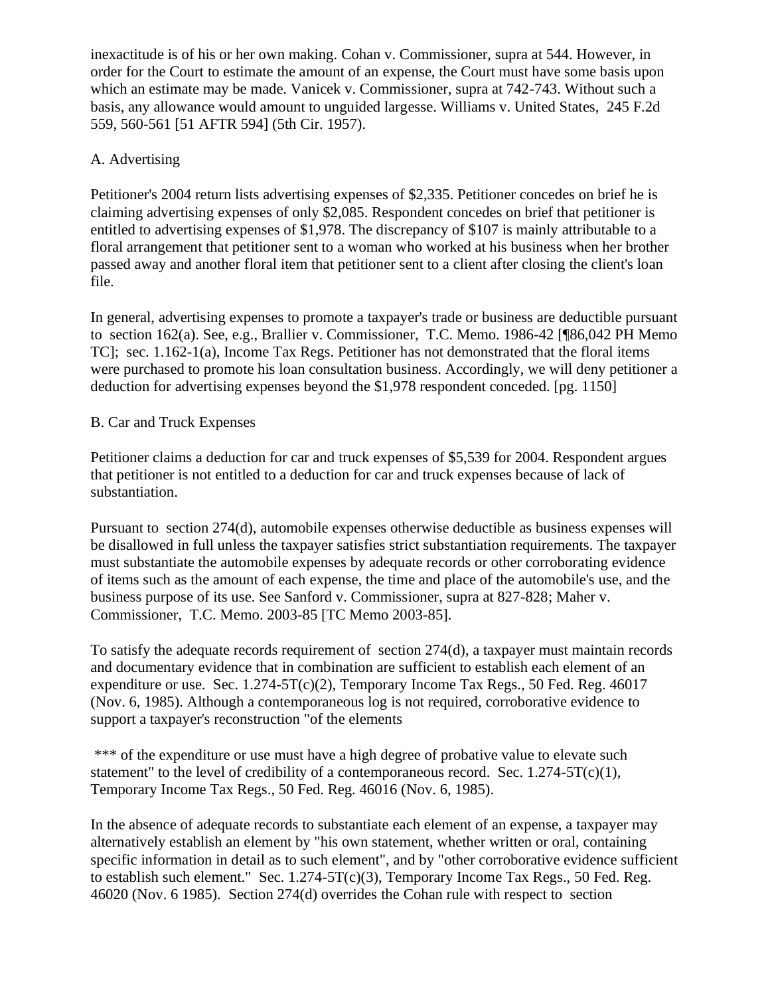inexactitude is of his or her own making. Cohan v. Commissioner, supra at 544. However, in order for the Court to estimate the amount of an expense, the Court must have some basis upon which an estimate may be made. Vanicek v. Commissioner, supra at 742-743. Without such a basis, any allowance would amount to unguided largesse. Williams v. United States, 245 F.2d 559, 560-561 [51 AFTR 594] (5th Cir. 1957).

# A. Advertising

Petitioner's 2004 return lists advertising expenses of \$2,335. Petitioner concedes on brief he is claiming advertising expenses of only \$2,085. Respondent concedes on brief that petitioner is entitled to advertising expenses of \$1,978. The discrepancy of \$107 is mainly attributable to a floral arrangement that petitioner sent to a woman who worked at his business when her brother passed away and another floral item that petitioner sent to a client after closing the client's loan file.

In general, advertising expenses to promote a taxpayer's trade or business are deductible pursuant to section 162(a). See, e.g., Brallier v. Commissioner, T.C. Memo. 1986-42 [¶86,042 PH Memo TC]; sec. 1.162-1(a), Income Tax Regs. Petitioner has not demonstrated that the floral items were purchased to promote his loan consultation business. Accordingly, we will deny petitioner a deduction for advertising expenses beyond the \$1,978 respondent conceded. [pg. 1150]

# B. Car and Truck Expenses

Petitioner claims a deduction for car and truck expenses of \$5,539 for 2004. Respondent argues that petitioner is not entitled to a deduction for car and truck expenses because of lack of substantiation.

Pursuant to section 274(d), automobile expenses otherwise deductible as business expenses will be disallowed in full unless the taxpayer satisfies strict substantiation requirements. The taxpayer must substantiate the automobile expenses by adequate records or other corroborating evidence of items such as the amount of each expense, the time and place of the automobile's use, and the business purpose of its use. See Sanford v. Commissioner, supra at 827-828; Maher v. Commissioner, T.C. Memo. 2003-85 [TC Memo 2003-85].

To satisfy the adequate records requirement of section 274(d), a taxpayer must maintain records and documentary evidence that in combination are sufficient to establish each element of an expenditure or use. Sec. 1.274-5T(c)(2), Temporary Income Tax Regs., 50 Fed. Reg. 46017 (Nov. 6, 1985). Although a contemporaneous log is not required, corroborative evidence to support a taxpayer's reconstruction "of the elements

\*\*\* of the expenditure or use must have a high degree of probative value to elevate such statement" to the level of credibility of a contemporaneous record. Sec.  $1.274-5T(c)(1)$ , Temporary Income Tax Regs., 50 Fed. Reg. 46016 (Nov. 6, 1985).

In the absence of adequate records to substantiate each element of an expense, a taxpayer may alternatively establish an element by "his own statement, whether written or oral, containing specific information in detail as to such element", and by "other corroborative evidence sufficient to establish such element." Sec. 1.274-5T(c)(3), Temporary Income Tax Regs., 50 Fed. Reg. 46020 (Nov. 6 1985). Section 274(d) overrides the Cohan rule with respect to section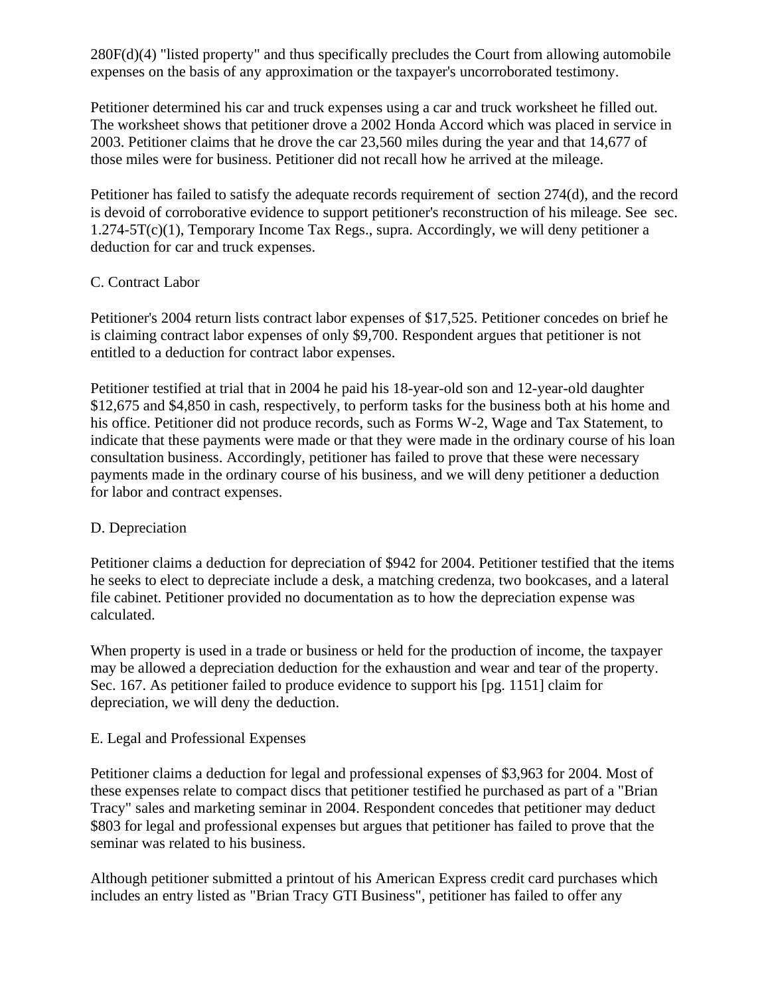280F(d)(4) "listed property" and thus specifically precludes the Court from allowing automobile expenses on the basis of any approximation or the taxpayer's uncorroborated testimony.

Petitioner determined his car and truck expenses using a car and truck worksheet he filled out. The worksheet shows that petitioner drove a 2002 Honda Accord which was placed in service in 2003. Petitioner claims that he drove the car 23,560 miles during the year and that 14,677 of those miles were for business. Petitioner did not recall how he arrived at the mileage.

Petitioner has failed to satisfy the adequate records requirement of section 274(d), and the record is devoid of corroborative evidence to support petitioner's reconstruction of his mileage. See sec.  $1.274 - 5T(c)(1)$ , Temporary Income Tax Regs., supra. Accordingly, we will deny petitioner a deduction for car and truck expenses.

## C. Contract Labor

Petitioner's 2004 return lists contract labor expenses of \$17,525. Petitioner concedes on brief he is claiming contract labor expenses of only \$9,700. Respondent argues that petitioner is not entitled to a deduction for contract labor expenses.

Petitioner testified at trial that in 2004 he paid his 18-year-old son and 12-year-old daughter \$12,675 and \$4,850 in cash, respectively, to perform tasks for the business both at his home and his office. Petitioner did not produce records, such as Forms W-2, Wage and Tax Statement, to indicate that these payments were made or that they were made in the ordinary course of his loan consultation business. Accordingly, petitioner has failed to prove that these were necessary payments made in the ordinary course of his business, and we will deny petitioner a deduction for labor and contract expenses.

#### D. Depreciation

Petitioner claims a deduction for depreciation of \$942 for 2004. Petitioner testified that the items he seeks to elect to depreciate include a desk, a matching credenza, two bookcases, and a lateral file cabinet. Petitioner provided no documentation as to how the depreciation expense was calculated.

When property is used in a trade or business or held for the production of income, the taxpayer may be allowed a depreciation deduction for the exhaustion and wear and tear of the property. Sec. 167. As petitioner failed to produce evidence to support his [pg. 1151] claim for depreciation, we will deny the deduction.

# E. Legal and Professional Expenses

Petitioner claims a deduction for legal and professional expenses of \$3,963 for 2004. Most of these expenses relate to compact discs that petitioner testified he purchased as part of a "Brian Tracy" sales and marketing seminar in 2004. Respondent concedes that petitioner may deduct \$803 for legal and professional expenses but argues that petitioner has failed to prove that the seminar was related to his business.

Although petitioner submitted a printout of his American Express credit card purchases which includes an entry listed as "Brian Tracy GTI Business", petitioner has failed to offer any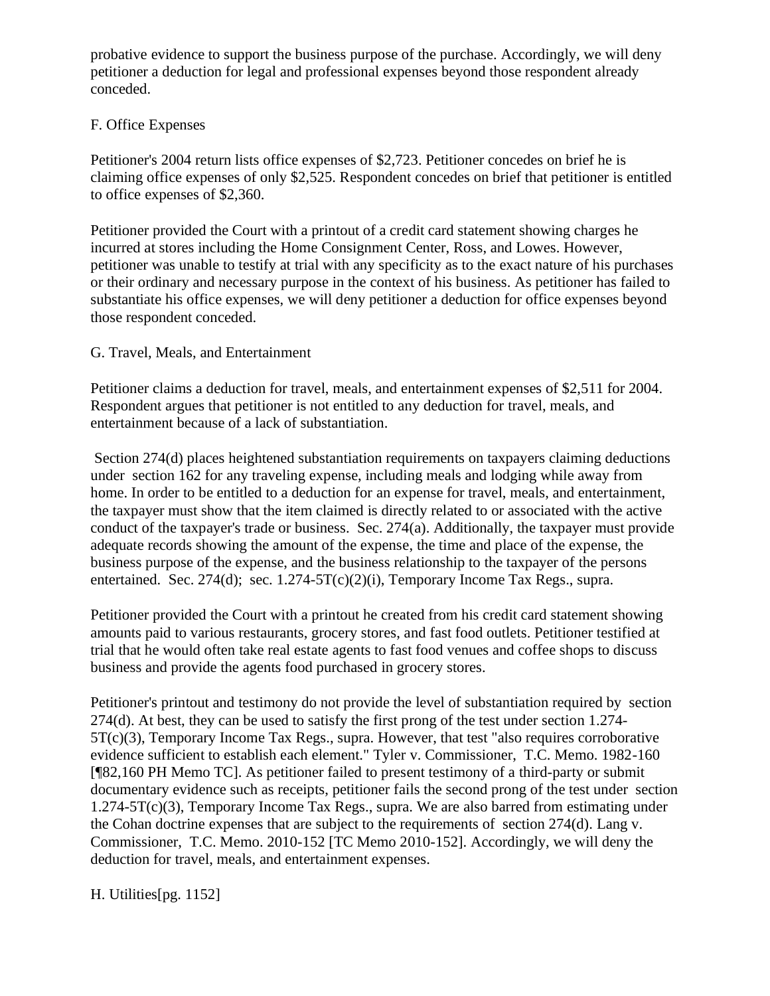probative evidence to support the business purpose of the purchase. Accordingly, we will deny petitioner a deduction for legal and professional expenses beyond those respondent already conceded.

# F. Office Expenses

Petitioner's 2004 return lists office expenses of \$2,723. Petitioner concedes on brief he is claiming office expenses of only \$2,525. Respondent concedes on brief that petitioner is entitled to office expenses of \$2,360.

Petitioner provided the Court with a printout of a credit card statement showing charges he incurred at stores including the Home Consignment Center, Ross, and Lowes. However, petitioner was unable to testify at trial with any specificity as to the exact nature of his purchases or their ordinary and necessary purpose in the context of his business. As petitioner has failed to substantiate his office expenses, we will deny petitioner a deduction for office expenses beyond those respondent conceded.

# G. Travel, Meals, and Entertainment

Petitioner claims a deduction for travel, meals, and entertainment expenses of \$2,511 for 2004. Respondent argues that petitioner is not entitled to any deduction for travel, meals, and entertainment because of a lack of substantiation.

Section 274(d) places heightened substantiation requirements on taxpayers claiming deductions under section 162 for any traveling expense, including meals and lodging while away from home. In order to be entitled to a deduction for an expense for travel, meals, and entertainment, the taxpayer must show that the item claimed is directly related to or associated with the active conduct of the taxpayer's trade or business. Sec. 274(a). Additionally, the taxpayer must provide adequate records showing the amount of the expense, the time and place of the expense, the business purpose of the expense, and the business relationship to the taxpayer of the persons entertained. Sec. 274(d); sec. 1.274-5T(c)(2)(i), Temporary Income Tax Regs., supra.

Petitioner provided the Court with a printout he created from his credit card statement showing amounts paid to various restaurants, grocery stores, and fast food outlets. Petitioner testified at trial that he would often take real estate agents to fast food venues and coffee shops to discuss business and provide the agents food purchased in grocery stores.

Petitioner's printout and testimony do not provide the level of substantiation required by section 274(d). At best, they can be used to satisfy the first prong of the test under section 1.274- 5T(c)(3), Temporary Income Tax Regs., supra. However, that test "also requires corroborative evidence sufficient to establish each element." Tyler v. Commissioner, T.C. Memo. 1982-160 [¶82,160 PH Memo TC]. As petitioner failed to present testimony of a third-party or submit documentary evidence such as receipts, petitioner fails the second prong of the test under section 1.274-5T(c)(3), Temporary Income Tax Regs., supra. We are also barred from estimating under the Cohan doctrine expenses that are subject to the requirements of section 274(d). Lang v. Commissioner, T.C. Memo. 2010-152 [TC Memo 2010-152]. Accordingly, we will deny the deduction for travel, meals, and entertainment expenses.

H. Utilities[pg. 1152]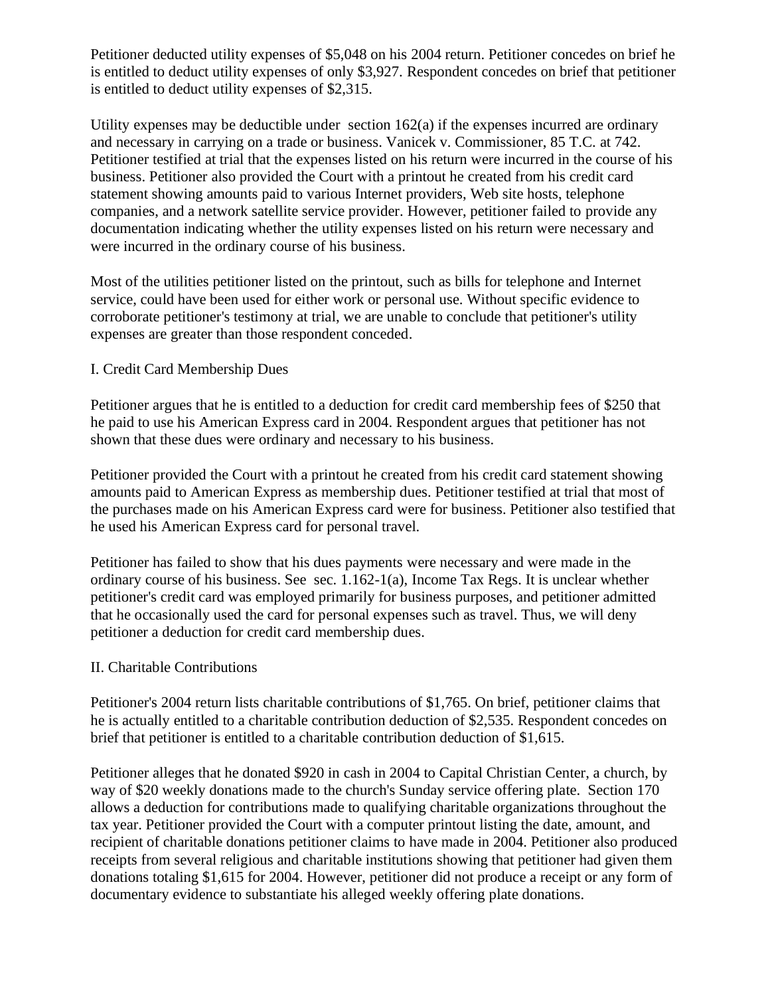Petitioner deducted utility expenses of \$5,048 on his 2004 return. Petitioner concedes on brief he is entitled to deduct utility expenses of only \$3,927. Respondent concedes on brief that petitioner is entitled to deduct utility expenses of \$2,315.

Utility expenses may be deductible under section 162(a) if the expenses incurred are ordinary and necessary in carrying on a trade or business. Vanicek v. Commissioner, 85 T.C. at 742. Petitioner testified at trial that the expenses listed on his return were incurred in the course of his business. Petitioner also provided the Court with a printout he created from his credit card statement showing amounts paid to various Internet providers, Web site hosts, telephone companies, and a network satellite service provider. However, petitioner failed to provide any documentation indicating whether the utility expenses listed on his return were necessary and were incurred in the ordinary course of his business.

Most of the utilities petitioner listed on the printout, such as bills for telephone and Internet service, could have been used for either work or personal use. Without specific evidence to corroborate petitioner's testimony at trial, we are unable to conclude that petitioner's utility expenses are greater than those respondent conceded.

## I. Credit Card Membership Dues

Petitioner argues that he is entitled to a deduction for credit card membership fees of \$250 that he paid to use his American Express card in 2004. Respondent argues that petitioner has not shown that these dues were ordinary and necessary to his business.

Petitioner provided the Court with a printout he created from his credit card statement showing amounts paid to American Express as membership dues. Petitioner testified at trial that most of the purchases made on his American Express card were for business. Petitioner also testified that he used his American Express card for personal travel.

Petitioner has failed to show that his dues payments were necessary and were made in the ordinary course of his business. See sec. 1.162-1(a), Income Tax Regs. It is unclear whether petitioner's credit card was employed primarily for business purposes, and petitioner admitted that he occasionally used the card for personal expenses such as travel. Thus, we will deny petitioner a deduction for credit card membership dues.

#### II. Charitable Contributions

Petitioner's 2004 return lists charitable contributions of \$1,765. On brief, petitioner claims that he is actually entitled to a charitable contribution deduction of \$2,535. Respondent concedes on brief that petitioner is entitled to a charitable contribution deduction of \$1,615.

Petitioner alleges that he donated \$920 in cash in 2004 to Capital Christian Center, a church, by way of \$20 weekly donations made to the church's Sunday service offering plate. Section 170 allows a deduction for contributions made to qualifying charitable organizations throughout the tax year. Petitioner provided the Court with a computer printout listing the date, amount, and recipient of charitable donations petitioner claims to have made in 2004. Petitioner also produced receipts from several religious and charitable institutions showing that petitioner had given them donations totaling \$1,615 for 2004. However, petitioner did not produce a receipt or any form of documentary evidence to substantiate his alleged weekly offering plate donations.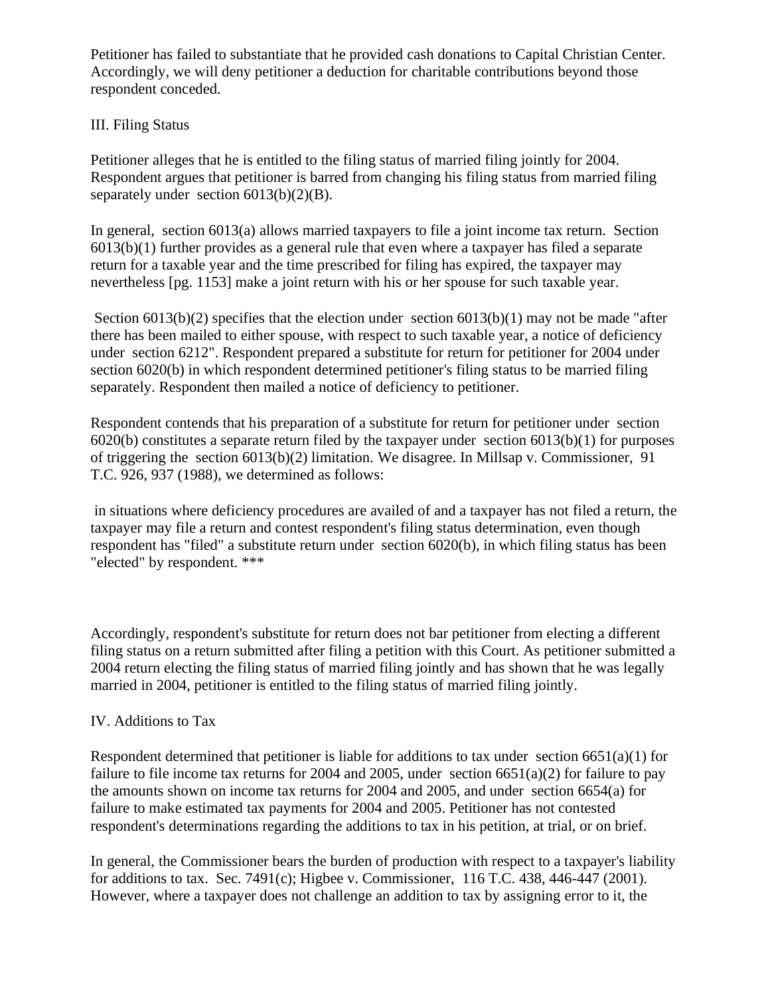Petitioner has failed to substantiate that he provided cash donations to Capital Christian Center. Accordingly, we will deny petitioner a deduction for charitable contributions beyond those respondent conceded.

# III. Filing Status

Petitioner alleges that he is entitled to the filing status of married filing jointly for 2004. Respondent argues that petitioner is barred from changing his filing status from married filing separately under section  $6013(b)(2)(B)$ .

In general, section 6013(a) allows married taxpayers to file a joint income tax return. Section 6013(b)(1) further provides as a general rule that even where a taxpayer has filed a separate return for a taxable year and the time prescribed for filing has expired, the taxpayer may nevertheless [pg. 1153] make a joint return with his or her spouse for such taxable year.

Section 6013(b)(2) specifies that the election under section 6013(b)(1) may not be made "after there has been mailed to either spouse, with respect to such taxable year, a notice of deficiency under section 6212". Respondent prepared a substitute for return for petitioner for 2004 under section 6020(b) in which respondent determined petitioner's filing status to be married filing separately. Respondent then mailed a notice of deficiency to petitioner.

Respondent contends that his preparation of a substitute for return for petitioner under section 6020(b) constitutes a separate return filed by the taxpayer under section 6013(b)(1) for purposes of triggering the section 6013(b)(2) limitation. We disagree. In Millsap v. Commissioner, 91 T.C. 926, 937 (1988), we determined as follows:

in situations where deficiency procedures are availed of and a taxpayer has not filed a return, the taxpayer may file a return and contest respondent's filing status determination, even though respondent has "filed" a substitute return under section 6020(b), in which filing status has been "elected" by respondent. \*\*\*

Accordingly, respondent's substitute for return does not bar petitioner from electing a different filing status on a return submitted after filing a petition with this Court. As petitioner submitted a 2004 return electing the filing status of married filing jointly and has shown that he was legally married in 2004, petitioner is entitled to the filing status of married filing jointly.

#### IV. Additions to Tax

Respondent determined that petitioner is liable for additions to tax under section  $6651(a)(1)$  for failure to file income tax returns for 2004 and 2005, under section  $6651(a)(2)$  for failure to pay the amounts shown on income tax returns for 2004 and 2005, and under section 6654(a) for failure to make estimated tax payments for 2004 and 2005. Petitioner has not contested respondent's determinations regarding the additions to tax in his petition, at trial, or on brief.

In general, the Commissioner bears the burden of production with respect to a taxpayer's liability for additions to tax. Sec. 7491(c); Higbee v. Commissioner, 116 T.C. 438, 446-447 (2001). However, where a taxpayer does not challenge an addition to tax by assigning error to it, the